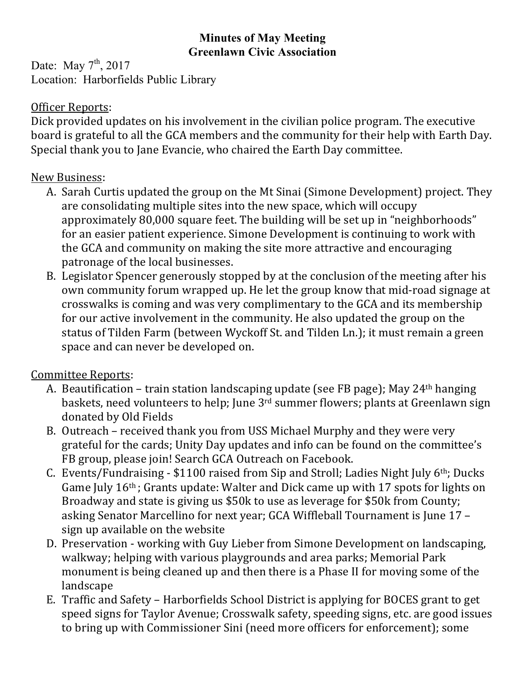## **Minutes of May Meeting Greenlawn Civic Association**

Date: May  $7<sup>th</sup>$ , 2017 Location: Harborfields Public Library

## Officer Reports:

Dick provided updates on his involvement in the civilian police program. The executive board is grateful to all the GCA members and the community for their help with Earth Day. Special thank you to Jane Evancie, who chaired the Earth Day committee.

## New Business:

- A. Sarah Curtis updated the group on the Mt Sinai (Simone Development) project. They are consolidating multiple sites into the new space, which will occupy approximately 80,000 square feet. The building will be set up in "neighborhoods" for an easier patient experience. Simone Development is continuing to work with the GCA and community on making the site more attractive and encouraging patronage of the local businesses.
- B. Legislator Spencer generously stopped by at the conclusion of the meeting after his own community forum wrapped up. He let the group know that mid-road signage at crosswalks is coming and was very complimentary to the GCA and its membership for our active involvement in the community. He also updated the group on the status of Tilden Farm (between Wyckoff St. and Tilden Ln.); it must remain a green space and can never be developed on.

## Committee Reports:

- A. Beautification train station landscaping update (see FB page); May 24<sup>th</sup> hanging baskets, need volunteers to help; June  $3<sup>rd</sup>$  summer flowers; plants at Greenlawn sign donated by Old Fields
- B. Outreach received thank you from USS Michael Murphy and they were very grateful for the cards; Unity Day updates and info can be found on the committee's FB group, please join! Search GCA Outreach on Facebook.
- C. Events/Fundraising  $$1100$  raised from Sip and Stroll; Ladies Night July  $6<sup>th</sup>$ ; Ducks Game July  $16<sup>th</sup>$ ; Grants update: Walter and Dick came up with 17 spots for lights on Broadway and state is giving us \$50k to use as leverage for \$50k from County; asking Senator Marcellino for next year; GCA Wiffleball Tournament is June 17 sign up available on the website
- D. Preservation working with Guy Lieber from Simone Development on landscaping, walkway; helping with various playgrounds and area parks; Memorial Park monument is being cleaned up and then there is a Phase II for moving some of the landscape
- E. Traffic and Safety Harborfields School District is applying for BOCES grant to get speed signs for Taylor Avenue; Crosswalk safety, speeding signs, etc. are good issues to bring up with Commissioner Sini (need more officers for enforcement); some